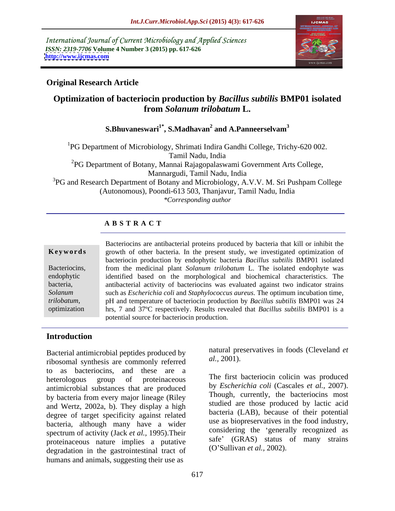International Journal of Current Microbiology and Applied Sciences *ISSN: 2319-7706* **Volume 4 Number 3 (2015) pp. 617-626 <http://www.ijcmas.com>**



### **Original Research Article**

## **Optimization of bacteriocin production by** *Bacillus subtilis* **BMP01 isolated from** *Solanum trilobatum* **L.**

#### **S.Bhuvaneswari1\* , S.Madhavan<sup>2</sup> and A.Panneerselvam<sup>3</sup>**

1PG Department of Microbiology, Shrimati Indira Gandhi College, Trichy-620 002. Tamil Nadu, India  ${}^{2}PG$  Department of Botany, Mannai Rajagopalaswami Government Arts College, Mannargudi, Tamil Nadu, India <sup>3</sup>PG and Research Department of Botany and Microbiology, A.V.V. M. Sri Pushpam College (Autonomous), Poondi-613 503, Thanjavur, Tamil Nadu, India *\*Corresponding author*

### **A B S T R A C T**

*trilobatum*, optimization

Bacteriocins are antibacterial proteins produced by bacteria that kill or inhibit the **Keywords** growth of other bacteria. In the present study, we investigated optimization of bacteriocin production by endophytic bacteria *Bacillus subtilis* BMP01 isolated Bacteriocins, from the medicinal plant *Solanum trilobatum* L. The isolated endophyte was identified based on the morphological and biochemical characteristics. The endophytic antibacterial activity of bacteriocins was evaluated against two indicator strains bacteria, such as *Escherichia coli* and *Staphylococcus aureus*. The optimum incubation time, *Solanum*  pH and temperature of bacteriocin production by *Bacillus subtilis* BMP01 was 24 hrs, 7 and 37°C respectively. Results revealed that *Bacillus subtilis* BMP01 is a potential source for bacteriocin production.

### **Introduction**

Bacterial antimicrobial peptides produced by<br>
ribosomal synthesis are commonly referred al., 2001). ribosomal synthesis are commonly referred to as bacteriocins, and these are a heterologous group of proteinaceous The III's bacteriocin concinuous produced antimicrobial substances that are produced by bacteria from every major lineage (Riley and Wertz, 2002a, b). They display a high degree of target specificity against related bacteria, although many have a wider spectrum of activity (Jack *et al.,* 1995).Their proteinaceous nature implies a putative safe (GRAS) status<br>dogradation in the gestrointestinal tract of (O'Sullivan *et al.*, 2002). degradation in the gastrointestinal tract of humans and animals, suggesting their use as

natural preservatives in foods (Cleveland *et al.,* 2001).

The first bacteriocin colicin was produced by *Escherichia coli* (Cascales *et al.,* 2007). Though, currently, the bacteriocins most studied are those produced by lactic acid bacteria (LAB), because of their potential use as biopreservatives in the food industry, considering the 'generally recognized as safe' (GRAS) status of many strains (O Sullivan *et al.,* 2002).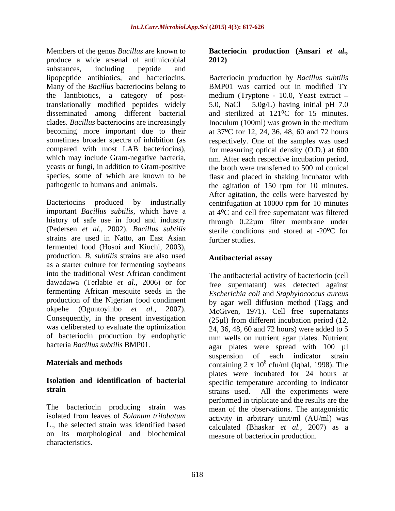Members of the genus *Bacillus* are known to **Bacteriocin production (Ansari** *et al.,* produce a wide arsenal of antimicrobial substances, including peptide and substances and substances including peptide and lipopeptide antibiotics, and bacteriocins. Bacteriocin production by *Bacillus subtilis* Many of the *Bacillus* bacteriocins belong to BMP01 was carried out in modified TY the lantibiotics, a category of post-medium (Tryptone - 10.0, Yeast extract translationally modified peptides widely 5.0, NaCl 5.0g/L) having initial pH 7.0 disseminated among different bacterial and sterilized at 121<sup>o</sup>C for 15 minutes. clades. *Bacillus* bacteriocins are increasingly Inoculum (100ml) was grown in the medium becoming more important due to their at 37<sup>o</sup>C for 12, 24, 36, 48, 60 and 72 hours sometimes broader spectra of inhibition (as respectively. One of the samples was used compared with most LAB bacteriocins), for measuring optical density (O.D.) at 600 which may include Gram-negative bacteria, mm. After each respective incubation period, yeasts or fungi, in addition to Gram-positive the broth were transferred to 500 ml conical species, some of which are known to be

Bacteriocins produced by industrially centrifugation at 10000 rpm for 10 minutes important *Bacillus subtilis*, which have a at 4<sup>o</sup>C and cell free supernatant was filtered history of safe use in food and industry through 0.22 $\mu$ m filter membrane under (Pedersen *et al.,* 2002). *Bacillus subtilis* sterile conditions and stored at -20<sup>o</sup>C for strains are used in Natto, an East Asian fermented food (Hosoi and Kiuchi, 2003), production. *B. subtilis* strains are also used as a starter culture for fermenting soybeans into the traditional West African condiment dawadawa (Terlabie *et al.,* 2006) or for fermenting African mesquite seeds in the production of the Nigerian food condiment was deliberated to evaluate the optimization of bacteriocin production by endophytic

The bacteriocin producing strain was isolated from leaves of *Solanum trilobatum* on its morphological and biochemical characteristics.

# **2012)**

pathogenic to humans and animals. the agitation of 150 rpm for 10 minutes. BMP01 was carried out in modified TY nm. After each respective incubation period,<br>the broth were transferred to 500 ml conical flask and placed in shaking incubator with After agitation, the cells were harvested by further studies.

### **Antibacterial assay**

okpehe (Oguntoyinbo *et al.,* 2007). McGiven, 1971). Cell free supernatants Consequently, in the present investigation  $(25\mu l)$  from different incubation period (12, bacteria *Bacillus subtilis* BMP01. agar plates were spread with 100 µl **Materials and methods** containing 2 x 10<sup>8</sup> cfu/ml (Iqbal, 1998). The **Isolation** and **identification** of **bacterial** specific temperature according to indicator strain strains used. All the experiments were L., the selected strain was identified based calculated (Bhaskar *et al.,* 2007) as a The antibacterial activity of bacteriocin (cell free supernatant) was detected against *Escherichia coli* and *Staphylococcus aureus* by agar well diffusion method (Tagg and 24, 36, 48, 60 and 72 hours) were added to 5 mm wells on nutrient agar plates. Nutrient suspension of each indicator strain plates were incubated for 24 hours at performed in triplicate and the results are the mean of the observations. The antagonistic activity in arbitrary unit/ml (AU/ml) was measure of bacteriocin production.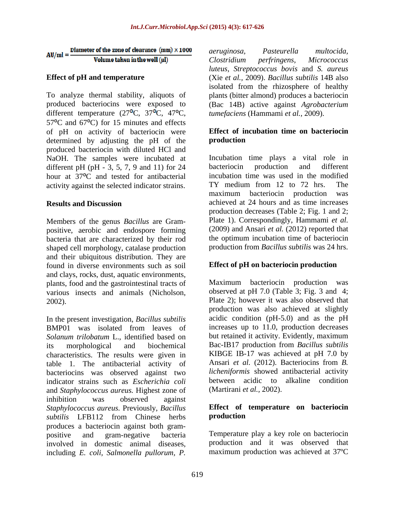Diameter of the zone of clearance  $\,(\text{mm})\times 1000$  $AU/ml =$ Volume taken in the well (uI)

To analyze thermal stability, aliquots of plants (bitter almond) produces a bacteriocin produced bacteriocins were exposed to (Bac 14B) active against *Agrobacterium*  different temperature  $(27^{\circ}C, 37^{\circ}C, 47^{\circ}C,$  $57^{\circ}$ C and  $67^{\circ}$ C) for 15 minutes and effects of pH on activity of bacteriocin were determined by adjusting the pH of the **production** produced bacteriocin with diluted HCl and NaOH. The samples were incubated at Incubation time plays a vital different pH (pH - 3, 5, 7, 9 and 11) for 24 bacteriocin production and different pH (pH - 3, 5, 7, 9 and 11) for 24 bacteriocin production and different hour at 37<sup>o</sup>C and tested for antibacterial incubation time was used in the more activity against the selected indicator strains TY medium from 12 to 72 hrs.

Members of the genus *Bacillus* are Gram positive, aerobic and endospore forming bacteria that are characterized by their rod shaped cell morphology, catalase production and their ubiquitous distribution. They are found in diverse environments such as soil and clays, rocks, dust, aquatic environments, plants, food and the gastrointestinal tracts of various insects and animals (Nicholson,

In the present investigation, *Bacillus subtilis* BMP01 was isolated from leaves of increases up to 11.0, production decreases *Solanum trilobatum* L., identified based on its morphological and biochemical Bac-IB17 production from *Bacillus subtilis* characteristics. The results were given in KIBGE IB-17 was achieved at pH 7.0 by table 1 The antibacterial activity of Ansari *et al.* (2012). Bacteriocins from *B*. table 1. The antibacterial activity of bacteriocins was observed against two indicator strains such as *Escherichia coli* and *Staphylococcus aureus.* Highest zone of inhibition was observed against *Staphylococcus aureus.* Previously, *Bacillus* **Effect of** *subtilis* LFB112 from Chinese herbs **production** *subtilis* LFB112 from Chinese herbs produces a bacteriocin against both gram positive and gram-negative bacteria Temperature play a key role on bacteriocin involved in domestic animal diseases, including *E. coli, Salmonella pullorum, P.*

**Effect of pH and temperature** (Xie *et al.,* 2009). *Bacillus subtilis* 14B also *aeruginosa, Pasteurella multocida, Clostridium perfringens, Micrococcus luteus, Streptococcus bovis* and *S. aureus* isolated from the rhizosphere of healthy *tumefaciens* (Hammami *et al.,* 2009).

### **Effect of incubation time on bacteriocin production**

activity against the selected indicator strains. TY medium from 12 to 72 hrs. The maximum bacteriocin production was **Results and Discussion** achieved at 24 hours and as time increases Incubation time plays a vital role in bacteriocin production and different incubation time was used in the modified TY medium from 12 to 72 hrs. The maximum bacteriocin production was production decreases (Table 2; Fig. 1 and 2; Plate 1). Correspondingly, Hammami *et al.* (2009) and Ansari *et al.* (2012) reported that the optimum incubation time of bacteriocin production from *Bacillus subtilis* was 24 hrs.

### **Effect of pH on bacteriocin production**

2002). Plate 2); however it was also observed that Maximum bacteriocin production was observed at pH 7.0 (Table 3; Fig. 3 and 4; production was also achieved at slightly acidic condition (pH-5.0) and as the pH increases up to 11.0, production decreases but retained it activity. Evidently, maximum KIBGE IB-17 was achieved at pH 7.0 by Ansari *et al.* (2012). Bacteriocins from *B. licheniformis* showed antibacterial activity between acidic to alkaline condition (Martirani *et al.,* 2002).

### **Effect of temperature on bacteriocin production**

production and it was observed that maximum production was achieved at 37ºC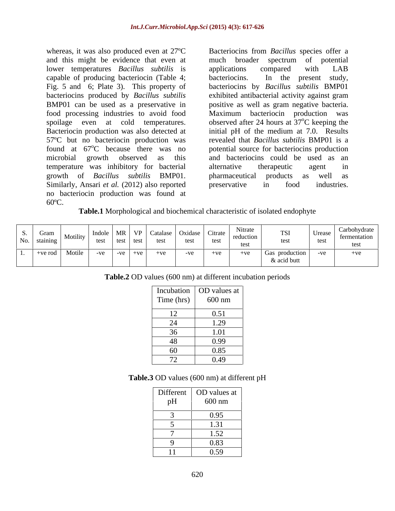whereas, it was also produced even at 27<sup>o</sup>C Bacteriocins from *Bacillus* species offer a and this might be evidence that even at much broader spectrum of potential lower temperatures *Bacillus subtilis* is applications compared with LAB capable of producing bacteriocin (Table 4; Fig. 5 and 6; Plate 3). This property of bacteriocins produced by *Bacillus subtilis* exhibited antibacterial activity against gram BMP01 can be used as a preservative in positive as well as gram negative bacteria. food processing industries to avoid food Maximum bacteriocin production was spoilage even at cold temperatures. observed after 24 hours at  $37^{\circ}$ C keeping the Bacteriocin production was also detected at 57ºC but no bacteriocin production was revealed that *Bacillus subtilis* BMP01 is a found at  $67^{\circ}$ C because there was no potential source for bacteriocins production microbial growth observed as this and bacteriocins could be used as an temperature was inhibitory for bacterial growth of *Bacillus subtilis* BMP01. Similarly, Ansari *et al.* (2012) also reported preservative in food industries. no bacteriocin production was found at whereas, it was also produced even at 27°C Bacteriocins from *Bacillus* species offer a<br>and this might be vidence that even at much broader spectrum of potential<br>lower temperatures *Bacillus subtilis* is applications compa

much broader spectrum of potential applications compared with LAB In the present study, bacteriocins by *Bacillus subtilis* BMP01 <sup>o</sup>C keeping the initial pH of the medium at 7.0. Results alternative therapeutic agent in pharmaceutical products as well as preservative in food industries.

**Table.1** Morphological and biochemical characteristic of isolated endophyte

|                              | Incubation OD values at<br>Time (hrs) 600 nm |
|------------------------------|----------------------------------------------|
| Time (hrs)                   |                                              |
| $\sqrt{10}$                  |                                              |
| $\perp$                      | 0.51                                         |
| $\bigcap$<br>– ∠ ⊣           | 1.29                                         |
| 36                           | 1.01                                         |
| 48                           | 0.99                                         |
| 60                           | 0.85                                         |
| $\overline{a}$<br>$\sqrt{2}$ | 0.49                                         |

|                                           | Different OD values at<br>pH 600 nm |
|-------------------------------------------|-------------------------------------|
| <b>Service Contract Contract Contract</b> | 0.95                                |
| and the control of the control of         | 1.31                                |
|                                           | 1.52                                |
|                                           | 0.83                                |
| <b><i><u>AA</u></i></b>                   | 0.59                                |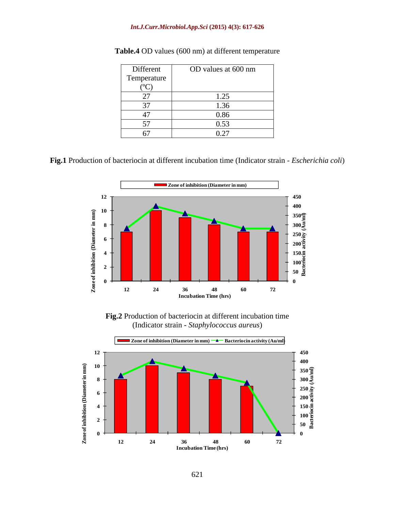#### *Int.J.Curr.Microbiol.App.Sci* **(2015) 4(3): 617-626**

| Different   | OD values at 600 nm |
|-------------|---------------------|
| Temperature |                     |
| ◡           |                     |
| $\sim$      | 1.25<br>$- -$       |
| $\sim$      | 1.2 <sub>c</sub>    |
|             | 0.86                |
|             | 0.53                |
|             | 0.27<br>$V \sim$    |

| Table.4 OD values (600 nm) a<br>.<br>at different temperature |  |
|---------------------------------------------------------------|--|
|                                                               |  |

**Fig.1** Production of bacteriocin at different incubation time (Indicator strain - *Escherichia coli*)



**Fig.2** Production of bacteriocin at different incubation time (Indicator strain - *Staphylococcus aureus*)

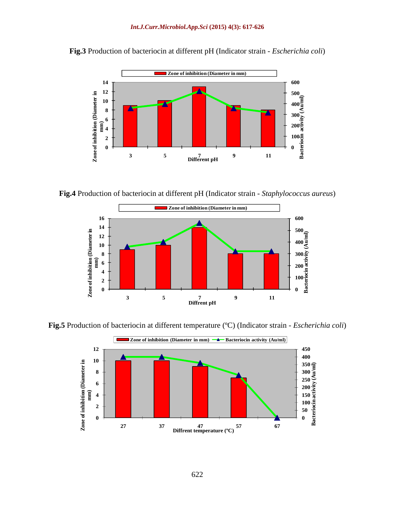

**Fig.3** Production of bacteriocin at different pH (Indicator strain - *Escherichia coli*)

**Fig.4** Production of bacteriocin at different pH (Indicator strain - *Staphylococcus aureus*)



**Fig.5** Production of bacteriocin at different temperature (ºC) (Indicator strain - *Escherichia coli*)

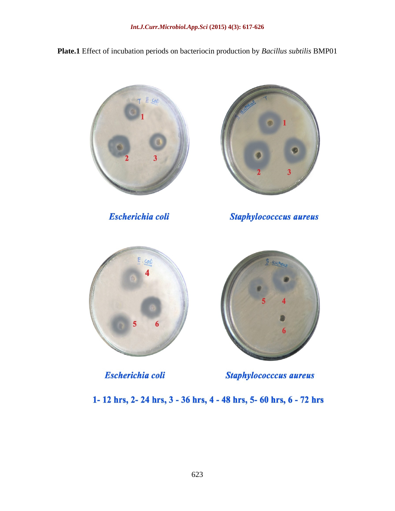**Plate.1** Effect of incubation periods on bacteriocin production by *Bacillus subtilis* BMP01



**Escherichia coli** 



**Staphylococccus aureus** 



**Escherichia coli** 



**Staphylococccus aureus** 

1-12 hrs, 2-24 hrs, 3 - 36 hrs, 4 - 48 hrs, 5-60 hrs, 6 - 72 hrs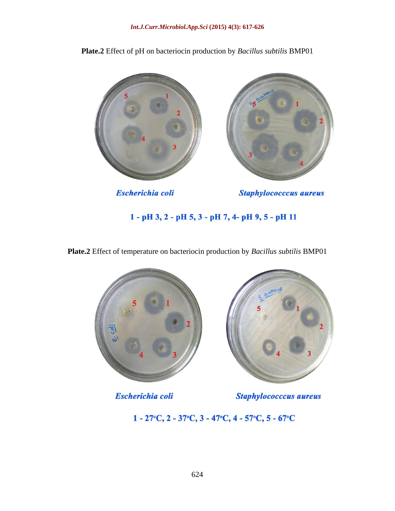



**Escherichia coli** 

**Staphylococccus aureus** 

1 - pH 3, 2 - pH 5, 3 - pH 7, 4- pH 9, 5 - pH 11

**Plate.2** Effect of temperature on bacteriocin production by *Bacillus subtilis* BMP01



**Escherichia coli** 

**Staphylococccus aureus** 

 $1 - 27$ °C,  $2 - 37$ °C,  $3 - 47$ °C,  $4 - 57$ °C,  $5 - 67$ °C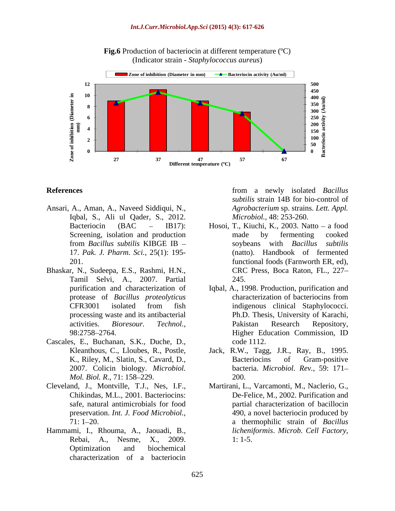

**Fig.6** Production of bacteriocin at different temperature (°C) (Indicator strain - *Staphylococcus aureus*)

- Ansari, A., Aman, A., Naveed Siddiqui, N., Iqbal, S., Ali ul Qader, S., 2012.
- Bhaskar, N., Sudeepa, E.S., Rashmi, H.N., Tamil Selvi, A., 2007. Partial
- Cascales, E., Buchanan, S.K., Duche, D., *Mol. Biol. R., 71:* 158–229. 200.
- Cleveland, J., Montville, T.J., Nes, I.F., preservation. *Int. J. Food Microbiol.,*
- Hammami, I., Rhouma, A., Jaouadi, B., Optimization and biochemical characterization of a bacteriocin

**References References** *References References References References References References References References References References References References References* from a newly isolated *Bacillus subtilis* strain 14B for bio-control of *Agrobacterium* sp. strains. *Lett. Appl. Microbiol.,* 48: 253-260.

- Bacteriocin (BAC IB17): Hosoi, T., Kiuchi, K., 2003. Natto a food Screening, isolation and production made by fermenting cooked from *Bacillus subtilis* KIBGE IB 17. *Pak. J. Pharm. Sci.,* 25(1): 195- (natto). Handbook of fermented 201. functional foods (Farnworth ER, ed), made by fermenting cooked soybeans with *Bacillus subtilis* CRC Press, Boca Raton, FL., 227 245.
- purification and characterization of Iqbal, A., 1998. Production, purification and protease of *Bacillus proteolyticus* CFR3001 isolated from fish processing waste and its antibacterial Ph.D. Thesis, University of Karachi, activities. *Bioresour. Technol.,* 98:2758 2764. characterization of bacteriocins from indigenous clinical Staphylococci. Pakistan Research Repository, Higher Education Commission, ID code 1112.
- Kleanthous, C., Lloubes, R., Postle, Jack, R.W., Tagg, J.R., Ray, B., 1995. K., Riley, M., Slatin, S., Cavard, D., 2007. Colicin biology. *Microbiol.*  bacteria. *Microbiol. Rev.,* 59: 171 Bacteriocins of Gram-positive 200.
- Chikindas, M.L., 2001. Bacteriocins: De-Felice, M., 2002. Purification and safe, natural antimicrobials for food partial characterization of bacillocin 71: 1 20. a thermophilic strain of *Bacillus*  Rebai, A., Nesme, X., 2009. Martirani, L., Varcamonti, M., Naclerio, G., 490, a novel bacteriocin produced by *licheniformis*. *Microb. Cell Factory,* 1: 1-5.